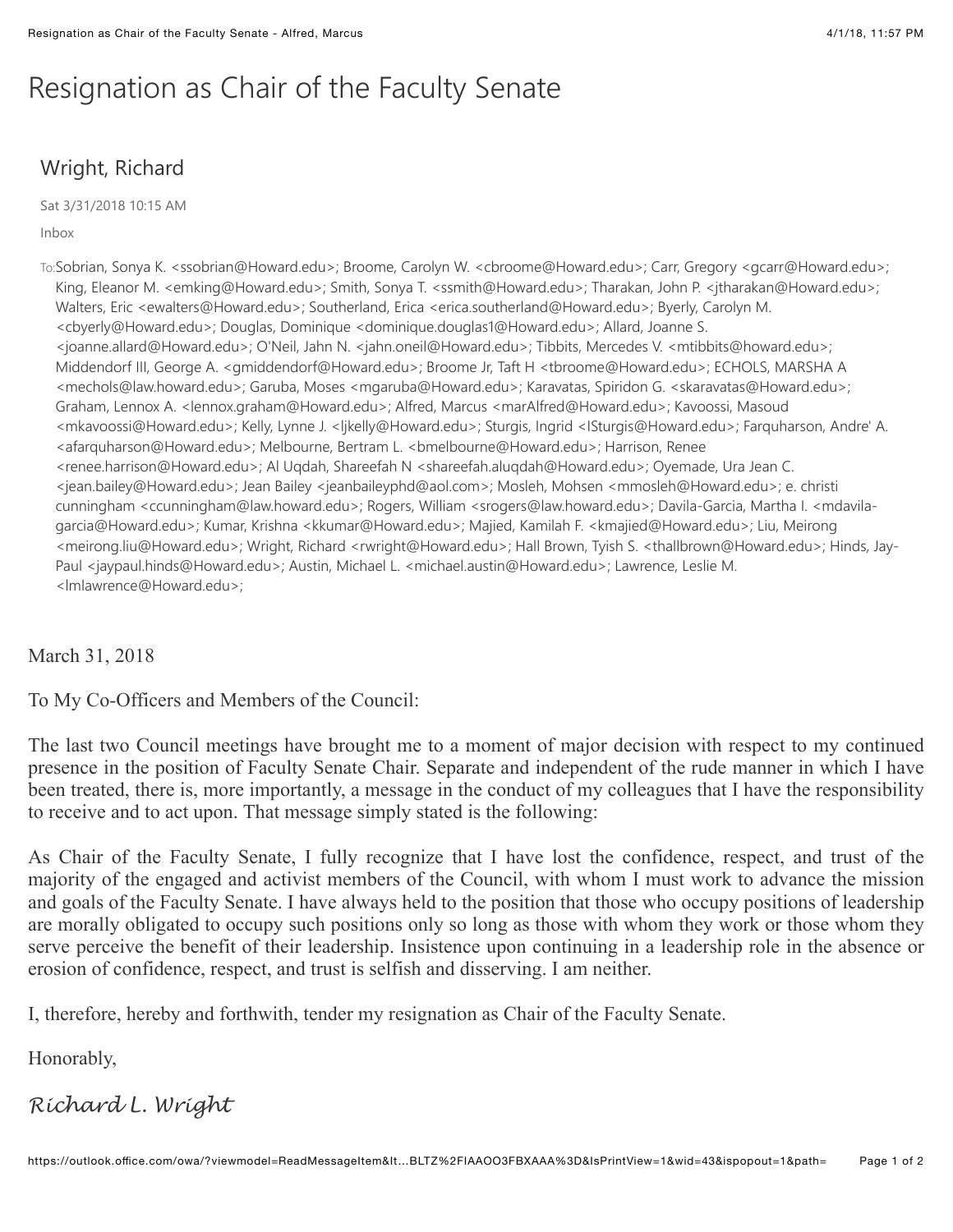## Resignation as Chair of the Faculty Senate

## Wright, Richard

Sat 3/31/2018 10:15 AM

Inbox

To:Sobrian, Sonya K. <ssobrian@Howard.edu>; Broome, Carolyn W. <cbroome@Howard.edu>; Carr, Gregory <gcarr@Howard.edu>; King, Eleanor M. <emking@Howard.edu>; Smith, Sonya T. <ssmith@Howard.edu>; Tharakan, John P. <jtharakan@Howard.edu>; Walters, Eric <ewalters@Howard.edu>; Southerland, Erica <erica.southerland@Howard.edu>; Byerly, Carolyn M. <cbyerly@Howard.edu>; Douglas, Dominique <dominique.douglas1@Howard.edu>; Allard, Joanne S. <joanne.allard@Howard.edu>; O'Neil, Jahn N. <jahn.oneil@Howard.edu>; Tibbits, Mercedes V. <mtibbits@howard.edu>; Middendorf III, George A. <gmiddendorf@Howard.edu>; Broome Jr, Taft H <tbroome@Howard.edu>; ECHOLS, MARSHA A <mechols@law.howard.edu>; Garuba, Moses <mgaruba@Howard.edu>; Karavatas, Spiridon G. <skaravatas@Howard.edu>; Graham, Lennox A. <lennox.graham@Howard.edu>; Alfred, Marcus <marAlfred@Howard.edu>; Kavoossi, Masoud <mkavoossi@Howard.edu>; Kelly, Lynne J. <ljkelly@Howard.edu>; Sturgis, Ingrid <ISturgis@Howard.edu>; Farquharson, Andre' A. <afarquharson@Howard.edu>; Melbourne, Bertram L. <bmelbourne@Howard.edu>; Harrison, Renee <renee.harrison@Howard.edu>; Al Uqdah, Shareefah N <shareefah.aluqdah@Howard.edu>; Oyemade, Ura Jean C. <jean.bailey@Howard.edu>; Jean Bailey <jeanbaileyphd@aol.com>; Mosleh, Mohsen <mmosleh@Howard.edu>; e. christi cunningham <ccunningham@law.howard.edu>; Rogers, William <srogers@law.howard.edu>; Davila-Garcia, Martha I. <mdavilagarcia@Howard.edu>; Kumar, Krishna <kkumar@Howard.edu>; Majied, Kamilah F. <kmajied@Howard.edu>; Liu, Meirong <meirong.liu@Howard.edu>; Wright, Richard <rwright@Howard.edu>; Hall Brown, Tyish S. <thallbrown@Howard.edu>; Hinds, Jay-Paul <jaypaul.hinds@Howard.edu>; Austin, Michael L. <michael.austin@Howard.edu>; Lawrence, Leslie M. <lmlawrence@Howard.edu>;

March 31, 2018

To My Co-Officers and Members of the Council:

The last two Council meetings have brought me to a moment of major decision with respect to my continued presence in the position of Faculty Senate Chair. Separate and independent of the rude manner in which I have been treated, there is, more importantly, a message in the conduct of my colleagues that I have the responsibility to receive and to act upon. That message simply stated is the following:

As Chair of the Faculty Senate, I fully recognize that I have lost the confidence, respect, and trust of the majority of the engaged and activist members of the Council, with whom I must work to advance the mission and goals of the Faculty Senate. I have always held to the position that those who occupy positions of leadership are morally obligated to occupy such positions only so long as those with whom they work or those whom they serve perceive the benefit of their leadership. Insistence upon continuing in a leadership role in the absence or erosion of confidence, respect, and trust is selfish and disserving. I am neither.

I, therefore, hereby and forthwith, tender my resignation as Chair of the Faculty Senate.

Honorably,

## *Richard L. Wright*